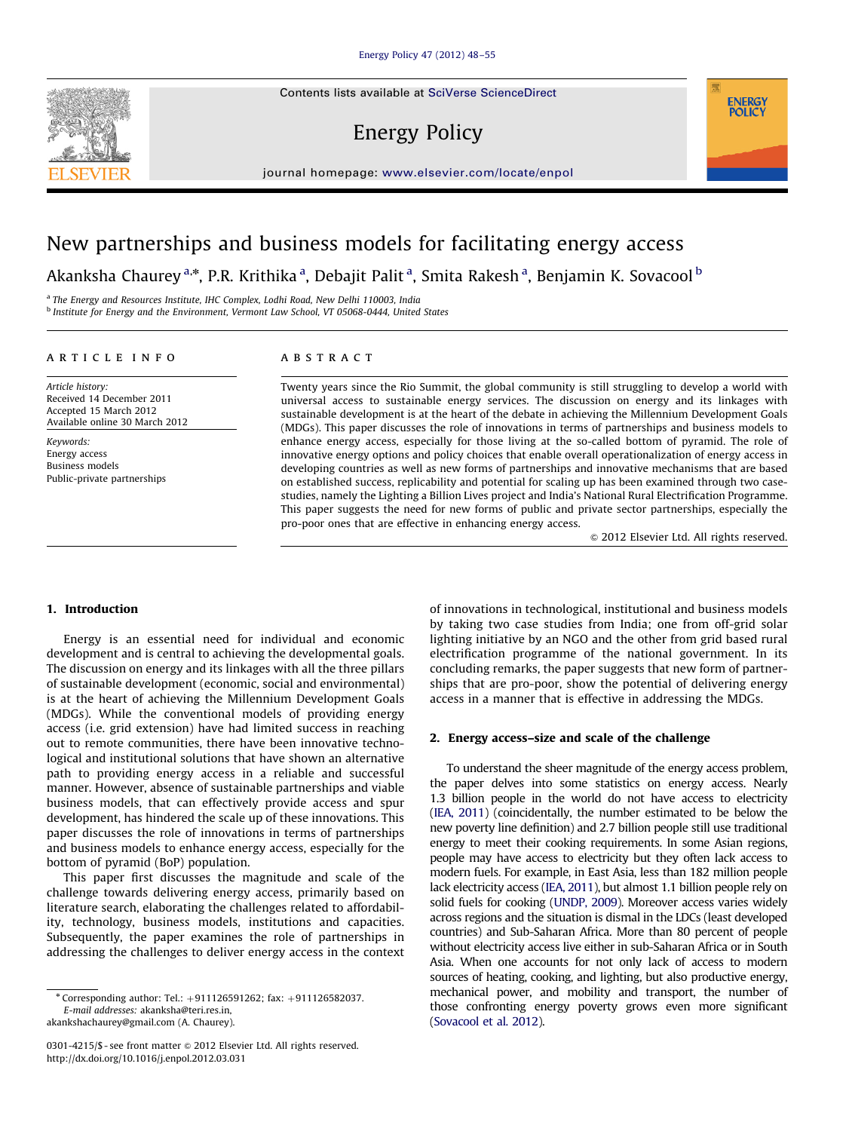Contents lists available at [SciVerse ScienceDirect](www.elsevier.com/locate/enpol)

## Energy Policy



### New partnerships and business models for facilitating energy access

**ABSTRACT** 

Akanksha Chaurey <sup>a,</sup>\*, P.R. Krithika <sup>a</sup>, Debajit Palit <sup>a</sup>, Smita Rakesh <sup>a</sup>, Benjamin K. Sovacool <sup>b</sup>

<sup>a</sup> The Energy and Resources Institute, IHC Complex, Lodhi Road, New Delhi 110003, India <sup>b</sup> Institute for Energy and the Environment, Vermont Law School, VT 05068-0444, United States

article info

Article history: Received 14 December 2011 Accepted 15 March 2012 Available online 30 March 2012

Keywords: Energy access Business models Public-private partnerships Twenty years since the Rio Summit, the global community is still struggling to develop a world with universal access to sustainable energy services. The discussion on energy and its linkages with sustainable development is at the heart of the debate in achieving the Millennium Development Goals (MDGs). This paper discusses the role of innovations in terms of partnerships and business models to enhance energy access, especially for those living at the so-called bottom of pyramid. The role of innovative energy options and policy choices that enable overall operationalization of energy access in developing countries as well as new forms of partnerships and innovative mechanisms that are based on established success, replicability and potential for scaling up has been examined through two casestudies, namely the Lighting a Billion Lives project and India's National Rural Electrification Programme. This paper suggests the need for new forms of public and private sector partnerships, especially the pro-poor ones that are effective in enhancing energy access.

 $\odot$  2012 Elsevier Ltd. All rights reserved.

**ENERGY POLICY** 

#### 1. Introduction

Energy is an essential need for individual and economic development and is central to achieving the developmental goals. The discussion on energy and its linkages with all the three pillars of sustainable development (economic, social and environmental) is at the heart of achieving the Millennium Development Goals (MDGs). While the conventional models of providing energy access (i.e. grid extension) have had limited success in reaching out to remote communities, there have been innovative technological and institutional solutions that have shown an alternative path to providing energy access in a reliable and successful manner. However, absence of sustainable partnerships and viable business models, that can effectively provide access and spur development, has hindered the scale up of these innovations. This paper discusses the role of innovations in terms of partnerships and business models to enhance energy access, especially for the bottom of pyramid (BoP) population.

This paper first discusses the magnitude and scale of the challenge towards delivering energy access, primarily based on literature search, elaborating the challenges related to affordability, technology, business models, institutions and capacities. Subsequently, the paper examines the role of partnerships in addressing the challenges to deliver energy access in the context

0301-4215/\$ - see front matter @ 2012 Elsevier Ltd. All rights reserved. http://dx.doi.org/[10.1016/j.enpol.2012.03.031](dx.doi.org/10.1016/j.enpol.2012.03.031)

of innovations in technological, institutional and business models by taking two case studies from India; one from off-grid solar lighting initiative by an NGO and the other from grid based rural electrification programme of the national government. In its concluding remarks, the paper suggests that new form of partnerships that are pro-poor, show the potential of delivering energy access in a manner that is effective in addressing the MDGs.

#### 2. Energy access–size and scale of the challenge

To understand the sheer magnitude of the energy access problem, the paper delves into some statistics on energy access. Nearly 1.3 billion people in the world do not have access to electricity ([IEA, 2011\)](#page--1-0) (coincidentally, the number estimated to be below the new poverty line definition) and 2.7 billion people still use traditional energy to meet their cooking requirements. In some Asian regions, people may have access to electricity but they often lack access to modern fuels. For example, in East Asia, less than 182 million people lack electricity access [\(IEA, 2011\)](#page--1-0), but almost 1.1 billion people rely on solid fuels for cooking ([UNDP, 2009](#page--1-0)). Moreover access varies widely across regions and the situation is dismal in the LDCs (least developed countries) and Sub-Saharan Africa. More than 80 percent of people without electricity access live either in sub-Saharan Africa or in South Asia. When one accounts for not only lack of access to modern sources of heating, cooking, and lighting, but also productive energy, mechanical power, and mobility and transport, the number of those confronting energy poverty grows even more significant ([Sovacool et al. 2012\)](#page--1-0).



 $*$  Corresponding author: Tel.:  $+911126591262$ ; fax:  $+911126582037$ . E-mail addresses: [akanksha@teri.res.in](mailto:akanksha@teri.res.in), [akankshachaurey@gmail.com \(A. Chaurey\)](mailto:akankshachaurey@gmail.com).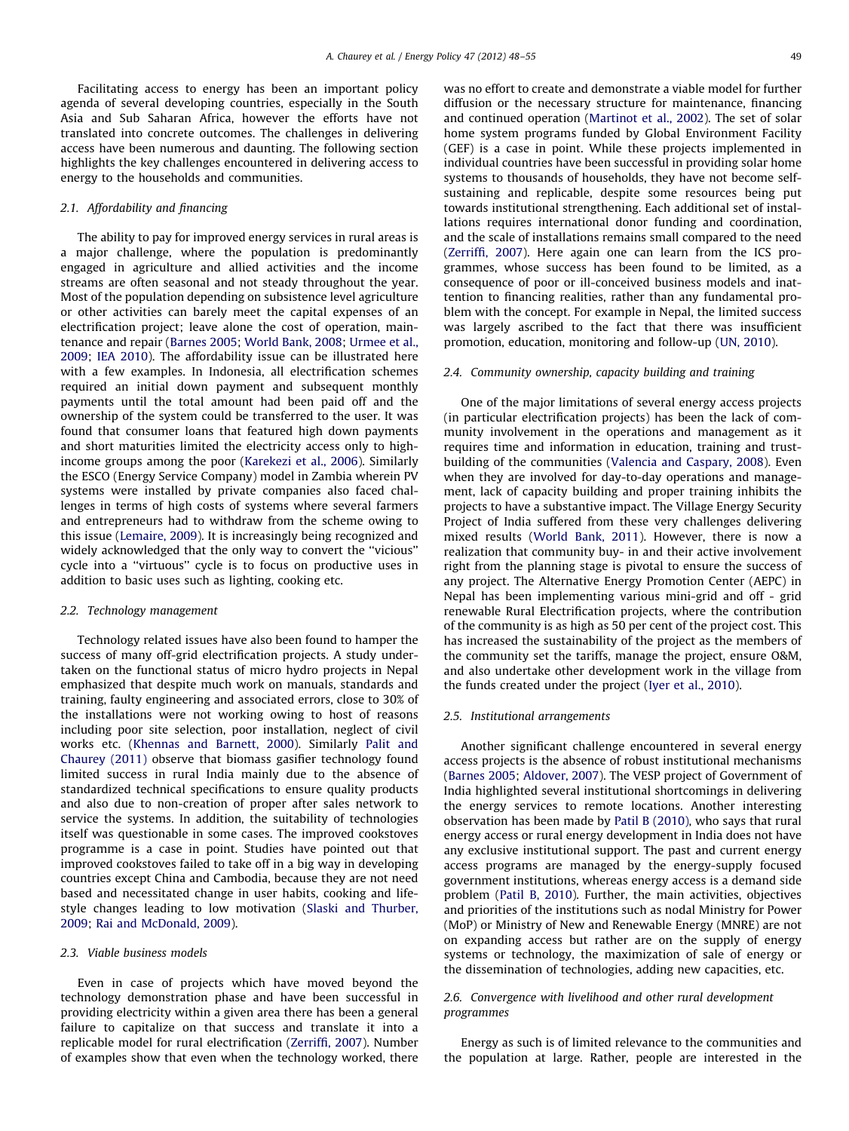Facilitating access to energy has been an important policy agenda of several developing countries, especially in the South Asia and Sub Saharan Africa, however the efforts have not translated into concrete outcomes. The challenges in delivering access have been numerous and daunting. The following section highlights the key challenges encountered in delivering access to energy to the households and communities.

### 2.1. Affordability and financing

The ability to pay for improved energy services in rural areas is a major challenge, where the population is predominantly engaged in agriculture and allied activities and the income streams are often seasonal and not steady throughout the year. Most of the population depending on subsistence level agriculture or other activities can barely meet the capital expenses of an electrification project; leave alone the cost of operation, maintenance and repair [\(Barnes 2005;](#page--1-0) [World Bank, 2008](#page--1-0); [Urmee et al.,](#page--1-0) [2009;](#page--1-0) [IEA 2010\)](#page--1-0). The affordability issue can be illustrated here with a few examples. In Indonesia, all electrification schemes required an initial down payment and subsequent monthly payments until the total amount had been paid off and the ownership of the system could be transferred to the user. It was found that consumer loans that featured high down payments and short maturities limited the electricity access only to highincome groups among the poor ([Karekezi et al., 2006](#page--1-0)). Similarly the ESCO (Energy Service Company) model in Zambia wherein PV systems were installed by private companies also faced challenges in terms of high costs of systems where several farmers and entrepreneurs had to withdraw from the scheme owing to this issue [\(Lemaire, 2009](#page--1-0)). It is increasingly being recognized and widely acknowledged that the only way to convert the ''vicious'' cycle into a ''virtuous'' cycle is to focus on productive uses in addition to basic uses such as lighting, cooking etc.

#### 2.2. Technology management

Technology related issues have also been found to hamper the success of many off-grid electrification projects. A study undertaken on the functional status of micro hydro projects in Nepal emphasized that despite much work on manuals, standards and training, faulty engineering and associated errors, close to 30% of the installations were not working owing to host of reasons including poor site selection, poor installation, neglect of civil works etc. [\(Khennas and Barnett, 2000](#page--1-0)). Similarly [Palit and](#page--1-0) [Chaurey \(2011\)](#page--1-0) observe that biomass gasifier technology found limited success in rural India mainly due to the absence of standardized technical specifications to ensure quality products and also due to non-creation of proper after sales network to service the systems. In addition, the suitability of technologies itself was questionable in some cases. The improved cookstoves programme is a case in point. Studies have pointed out that improved cookstoves failed to take off in a big way in developing countries except China and Cambodia, because they are not need based and necessitated change in user habits, cooking and lifestyle changes leading to low motivation [\(Slaski and Thurber,](#page--1-0) [2009;](#page--1-0) [Rai and McDonald, 2009\)](#page--1-0).

#### 2.3. Viable business models

Even in case of projects which have moved beyond the technology demonstration phase and have been successful in providing electricity within a given area there has been a general failure to capitalize on that success and translate it into a replicable model for rural electrification [\(Zerriffi, 2007](#page--1-0)). Number of examples show that even when the technology worked, there

was no effort to create and demonstrate a viable model for further diffusion or the necessary structure for maintenance, financing and continued operation ([Martinot et al., 2002\)](#page--1-0). The set of solar home system programs funded by Global Environment Facility (GEF) is a case in point. While these projects implemented in individual countries have been successful in providing solar home systems to thousands of households, they have not become selfsustaining and replicable, despite some resources being put towards institutional strengthening. Each additional set of installations requires international donor funding and coordination, and the scale of installations remains small compared to the need ([Zerriffi, 2007\)](#page--1-0). Here again one can learn from the ICS programmes, whose success has been found to be limited, as a consequence of poor or ill-conceived business models and inattention to financing realities, rather than any fundamental problem with the concept. For example in Nepal, the limited success was largely ascribed to the fact that there was insufficient promotion, education, monitoring and follow-up [\(UN, 2010](#page--1-0)).

#### 2.4. Community ownership, capacity building and training

One of the major limitations of several energy access projects (in particular electrification projects) has been the lack of community involvement in the operations and management as it requires time and information in education, training and trustbuilding of the communities ([Valencia and Caspary, 2008\)](#page--1-0). Even when they are involved for day-to-day operations and management, lack of capacity building and proper training inhibits the projects to have a substantive impact. The Village Energy Security Project of India suffered from these very challenges delivering mixed results [\(World Bank, 2011\)](#page--1-0). However, there is now a realization that community buy- in and their active involvement right from the planning stage is pivotal to ensure the success of any project. The Alternative Energy Promotion Center (AEPC) in Nepal has been implementing various mini-grid and off - grid renewable Rural Electrification projects, where the contribution of the community is as high as 50 per cent of the project cost. This has increased the sustainability of the project as the members of the community set the tariffs, manage the project, ensure O&M, and also undertake other development work in the village from the funds created under the project [\(Iyer et al., 2010\)](#page--1-0).

#### 2.5. Institutional arrangements

Another significant challenge encountered in several energy access projects is the absence of robust institutional mechanisms ([Barnes 2005;](#page--1-0) [Aldover, 2007](#page--1-0)). The VESP project of Government of India highlighted several institutional shortcomings in delivering the energy services to remote locations. Another interesting observation has been made by [Patil B \(2010\)](#page--1-0), who says that rural energy access or rural energy development in India does not have any exclusive institutional support. The past and current energy access programs are managed by the energy-supply focused government institutions, whereas energy access is a demand side problem ([Patil B, 2010](#page--1-0)). Further, the main activities, objectives and priorities of the institutions such as nodal Ministry for Power (MoP) or Ministry of New and Renewable Energy (MNRE) are not on expanding access but rather are on the supply of energy systems or technology, the maximization of sale of energy or the dissemination of technologies, adding new capacities, etc.

#### 2.6. Convergence with livelihood and other rural development programmes

Energy as such is of limited relevance to the communities and the population at large. Rather, people are interested in the